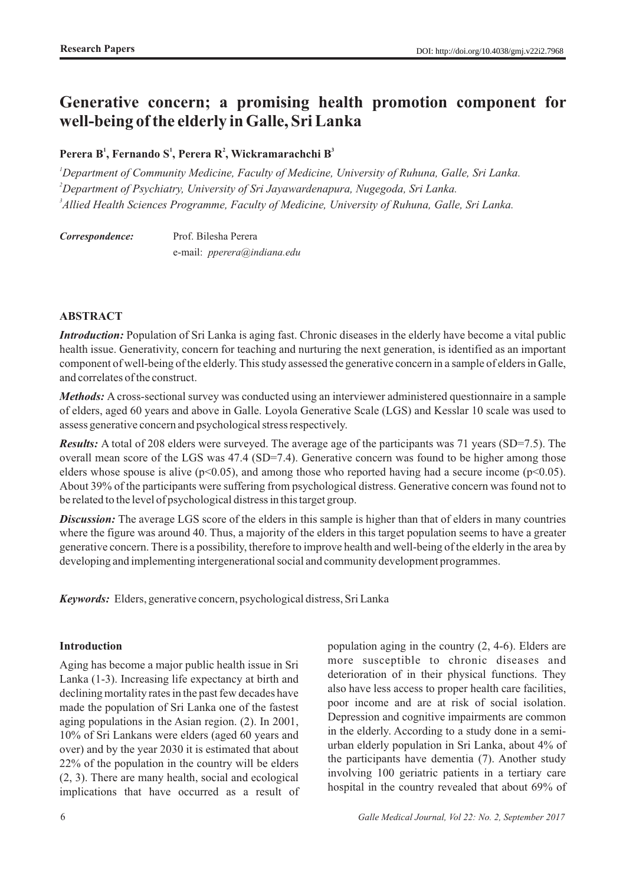# **Generative concern; a promising health promotion component for well-being of the elderly in Galle, Sri Lanka**

# **1 1 2 3 Perera B , Fernando S , Perera R , Wickramarachchi B**

*<sup>1</sup>Department of Community Medicine, Faculty of Medicine, University of Ruhuna, Galle, Sri Lanka. <sup>2</sup>Department of Psychiatry, University of Sri Jayawardenapura, Nugegoda, Sri Lanka. 3 Allied Health Sciences Programme, Faculty of Medicine, University of Ruhuna, Galle, Sri Lanka.*

*Correspondence:* Prof. Bilesha Perera e-mail: *pperera@indiana.edu* 

## **ABSTRACT**

*Introduction:* Population of Sri Lanka is aging fast. Chronic diseases in the elderly have become a vital public health issue. Generativity, concern for teaching and nurturing the next generation, is identified as an important component of well-being of the elderly. This study assessed the generative concern in a sample of elders in Galle, and correlates of the construct.

*Methods:* A cross-sectional survey was conducted using an interviewer administered questionnaire in a sample of elders, aged 60 years and above in Galle. Loyola Generative Scale (LGS) and Kesslar 10 scale was used to assess generative concern and psychological stress respectively.

*Results:* A total of 208 elders were surveyed. The average age of the participants was 71 years (SD=7.5). The overall mean score of the LGS was 47.4 (SD=7.4). Generative concern was found to be higher among those elders whose spouse is alive ( $p<0.05$ ), and among those who reported having had a secure income ( $p<0.05$ ). About 39% of the participants were suffering from psychological distress. Generative concern was found not to be related to the level of psychological distress in this target group.

*Discussion:* The average LGS score of the elders in this sample is higher than that of elders in many countries where the figure was around 40. Thus, a majority of the elders in this target population seems to have a greater generative concern. There is a possibility, therefore to improve health and well-being of the elderly in the area by developing and implementing intergenerational social and community development programmes.

*Keywords:* Elders, generative concern, psychological distress, Sri Lanka

#### **Introduction**

Aging has become a major public health issue in Sri Lanka (1-3). Increasing life expectancy at birth and declining mortality rates in the past few decades have made the population of Sri Lanka one of the fastest aging populations in the Asian region. (2). In 2001, 10% of Sri Lankans were elders (aged 60 years and over) and by the year 2030 it is estimated that about 22% of the population in the country will be elders (2, 3). There are many health, social and ecological implications that have occurred as a result of

deterioration of in their physical functions. They also have less access to proper health care facilities, poor income and are at risk of social isolation. Depression and cognitive impairments are common in the elderly. According to a study done in a semiurban elderly population in Sri Lanka, about 4% of the participants have dementia (7). Another study involving 100 geriatric patients in a tertiary care hospital in the country revealed that about 69% of

population aging in the country (2, 4-6). Elders are more susceptible to chronic diseases and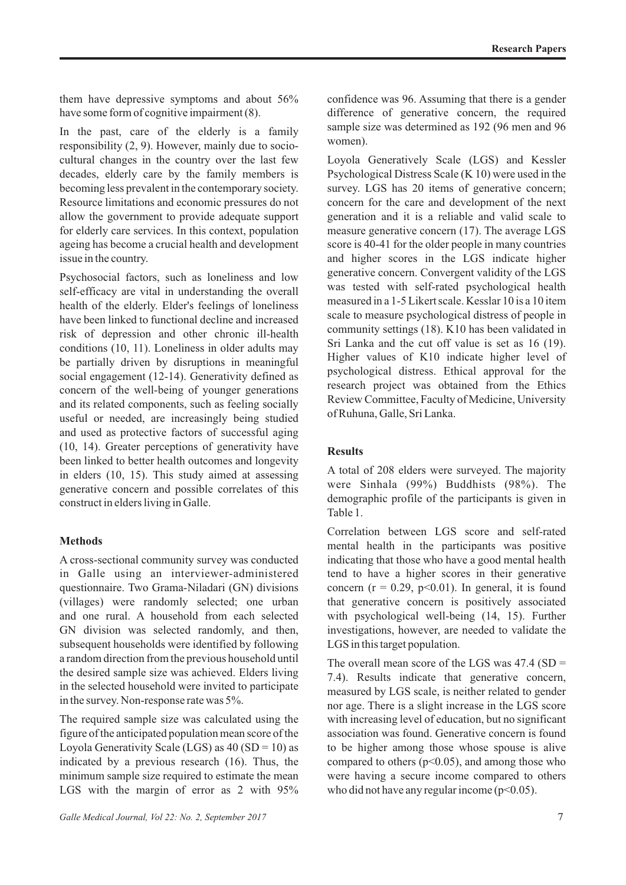them have depressive symptoms and about 56% have some form of cognitive impairment (8).

In the past, care of the elderly is a family responsibility (2, 9). However, mainly due to sociocultural changes in the country over the last few decades, elderly care by the family members is becoming less prevalent in the contemporary society. Resource limitations and economic pressures do not allow the government to provide adequate support for elderly care services. In this context, population ageing has become a crucial health and development issue in the country.

Psychosocial factors, such as loneliness and low self-efficacy are vital in understanding the overall health of the elderly. Elder's feelings of loneliness have been linked to functional decline and increased risk of depression and other chronic ill-health conditions (10, 11). Loneliness in older adults may be partially driven by disruptions in meaningful social engagement (12-14). Generativity defined as concern of the well-being of younger generations and its related components, such as feeling socially useful or needed, are increasingly being studied and used as protective factors of successful aging (10, 14). Greater perceptions of generativity have been linked to better health outcomes and longevity in elders (10, 15). This study aimed at assessing generative concern and possible correlates of this construct in elders living in Galle.

#### **Methods**

A cross-sectional community survey was conducted in Galle using an interviewer-administered questionnaire. Two Grama-Niladari (GN) divisions (villages) were randomly selected; one urban and one rural. A household from each selected GN division was selected randomly, and then, subsequent households were identified by following a random direction from the previous household until the desired sample size was achieved. Elders living in the selected household were invited to participate in the survey. Non-response rate was 5%.

The required sample size was calculated using the figure of the anticipated population mean score of the Loyola Generativity Scale (LGS) as  $40$  (SD = 10) as indicated by a previous research (16). Thus, the minimum sample size required to estimate the mean LGS with the margin of error as 2 with 95%

*Galle Medical Journal, Vol 22: No. 2, September 2017* 7

confidence was 96. Assuming that there is a gender difference of generative concern, the required sample size was determined as 192 (96 men and 96 women).

Loyola Generatively Scale (LGS) and Kessler Psychological Distress Scale (K 10) were used in the survey. LGS has 20 items of generative concern; concern for the care and development of the next generation and it is a reliable and valid scale to measure generative concern (17). The average LGS score is 40-41 for the older people in many countries and higher scores in the LGS indicate higher generative concern. Convergent validity of the LGS was tested with self-rated psychological health measured in a 1-5 Likert scale. Kesslar 10 is a 10 item scale to measure psychological distress of people in community settings (18). K10 has been validated in Sri Lanka and the cut off value is set as 16 (19). Higher values of K10 indicate higher level of psychological distress. Ethical approval for the research project was obtained from the Ethics Review Committee, Faculty of Medicine, University of Ruhuna, Galle, Sri Lanka.

## **Results**

A total of 208 elders were surveyed. The majority were Sinhala (99%) Buddhists (98%). The demographic profile of the participants is given in Table 1.

Correlation between LGS score and self-rated mental health in the participants was positive indicating that those who have a good mental health tend to have a higher scores in their generative concern ( $r = 0.29$ ,  $p < 0.01$ ). In general, it is found that generative concern is positively associated with psychological well-being (14, 15). Further investigations, however, are needed to validate the LGS in this target population.

The overall mean score of the LGS was  $47.4$  (SD = 7.4). Results indicate that generative concern, measured by LGS scale, is neither related to gender nor age. There is a slight increase in the LGS score with increasing level of education, but no significant association was found. Generative concern is found to be higher among those whose spouse is alive compared to others  $(p<0.05)$ , and among those who were having a secure income compared to others who did not have any regular income  $(p<0.05)$ .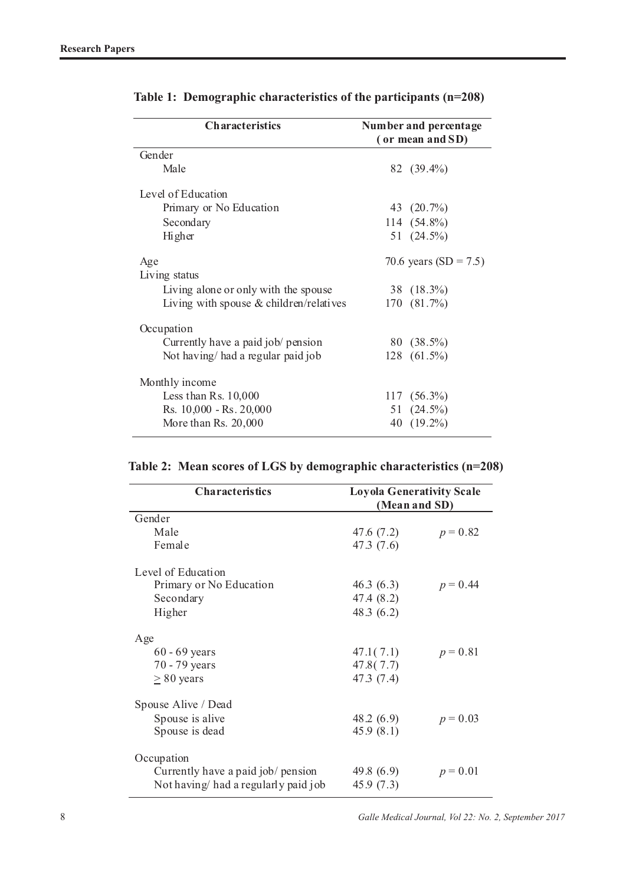| <b>Characteristics</b>                    | Number and percentage |                       |  |  |
|-------------------------------------------|-----------------------|-----------------------|--|--|
|                                           | (or mean and SD)      |                       |  |  |
| Gender                                    |                       |                       |  |  |
| Male                                      |                       | 82 (39.4%)            |  |  |
| Level of Education                        |                       |                       |  |  |
| Primary or No Education                   |                       | 43 (20.7%)            |  |  |
| Secondary                                 |                       | 114 (54.8%)           |  |  |
| <b>Higher</b>                             |                       | 51 $(24.5\%)$         |  |  |
| Age<br>Living status                      |                       | 70.6 years (SD = 7.5) |  |  |
| Living alone or only with the spouse      |                       | 38 (18.3%)            |  |  |
| Living with spouse $&$ children/relatives |                       | $170(81.7\%)$         |  |  |
| Occupation                                |                       |                       |  |  |
| Currently have a paid job/ pension        |                       | 80 (38.5%)            |  |  |
| Not having/had a regular paid job         |                       | $128$ $(61.5\%)$      |  |  |
| Monthly income                            |                       |                       |  |  |
| Less than Rs. $10,000$                    |                       | $117(56.3\%)$         |  |  |
| Rs. 10,000 - Rs. 20,000                   |                       | 51 $(24.5\%)$         |  |  |
| More than Rs. 20,000                      |                       | 40 (19.2%)            |  |  |

|  |  |  |  |  |  |  |  | Table 2: Mean scores of LGS by demographic characteristics (n=208) |  |
|--|--|--|--|--|--|--|--|--------------------------------------------------------------------|--|
|--|--|--|--|--|--|--|--|--------------------------------------------------------------------|--|

| <b>Characteristics</b>              | <b>Loyola Generativity Scale</b><br>(Mean and SD) |            |  |  |  |  |  |  |
|-------------------------------------|---------------------------------------------------|------------|--|--|--|--|--|--|
| Gender                              |                                                   |            |  |  |  |  |  |  |
| Male                                | 47.6 (7.2)                                        | $p = 0.82$ |  |  |  |  |  |  |
| Female                              | 47.3(7.6)                                         |            |  |  |  |  |  |  |
| Level of Education                  |                                                   |            |  |  |  |  |  |  |
| Primary or No Education             | 46.3(6.3)                                         | $p = 0.44$ |  |  |  |  |  |  |
| Secondary                           | 47.4 (8.2)                                        |            |  |  |  |  |  |  |
| Higher                              | 48.3 $(6.2)$                                      |            |  |  |  |  |  |  |
| Age                                 |                                                   |            |  |  |  |  |  |  |
| $60 - 69$ years                     | 47.1(7.1)                                         | $p = 0.81$ |  |  |  |  |  |  |
| $70 - 79$ years                     | 47.8(7.7)                                         |            |  |  |  |  |  |  |
| $\geq 80$ years                     | 47.3(7.4)                                         |            |  |  |  |  |  |  |
| Spouse Alive / Dead                 |                                                   |            |  |  |  |  |  |  |
| Spouse is alive                     | 48.2(6.9)                                         | $p = 0.03$ |  |  |  |  |  |  |
| Spouse is dead                      | 45.9(8.1)                                         |            |  |  |  |  |  |  |
|                                     |                                                   |            |  |  |  |  |  |  |
| Occupation                          |                                                   |            |  |  |  |  |  |  |
| Currently have a paid job/ pension  | 49.8 $(6.9)$                                      | $p = 0.01$ |  |  |  |  |  |  |
| Not having had a regularly paid job | 45.9(7.3)                                         |            |  |  |  |  |  |  |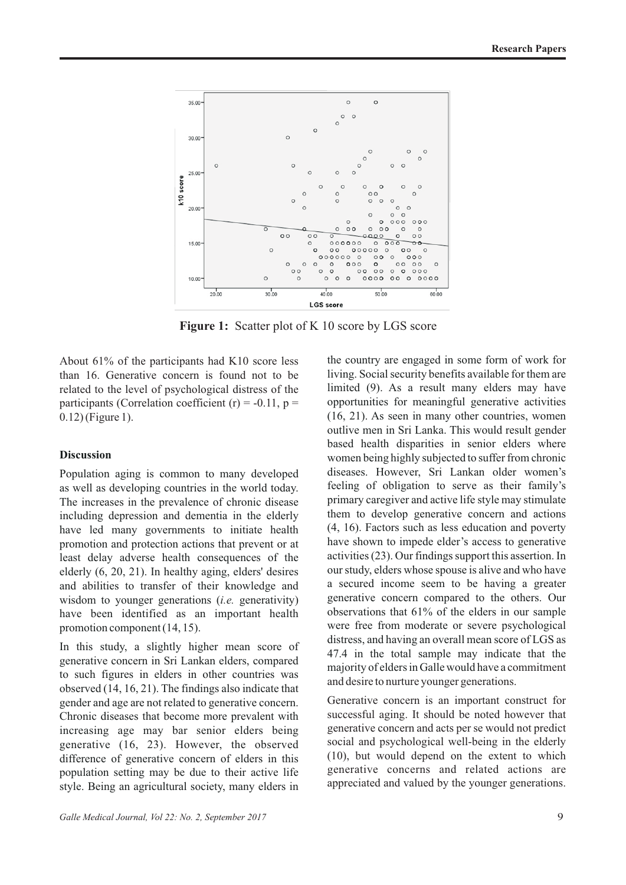

**Figure 1:** Scatter plot of K 10 score by LGS score

About 61% of the participants had K10 score less than 16. Generative concern is found not to be related to the level of psychological distress of the participants (Correlation coefficient  $(r) = -0.11$ ,  $p =$ 0.12) (Figure 1).

#### **Discussion**

Population aging is common to many developed as well as developing countries in the world today. The increases in the prevalence of chronic disease including depression and dementia in the elderly have led many governments to initiate health promotion and protection actions that prevent or at least delay adverse health consequences of the elderly (6, 20, 21). In healthy aging, elders' desires and abilities to transfer of their knowledge and wisdom to younger generations (*i.e.* generativity) have been identified as an important health promotion component (14, 15).

In this study, a slightly higher mean score of generative concern in Sri Lankan elders, compared to such figures in elders in other countries was observed (14, 16, 21). The findings also indicate that gender and age are not related to generative concern. Chronic diseases that become more prevalent with increasing age may bar senior elders being generative (16, 23). However, the observed difference of generative concern of elders in this population setting may be due to their active life style. Being an agricultural society, many elders in

the country are engaged in some form of work for living. Social security benefits available for them are limited (9). As a result many elders may have opportunities for meaningful generative activities (16, 21). As seen in many other countries, women outlive men in Sri Lanka. This would result gender based health disparities in senior elders where women being highly subjected to suffer from chronic diseases. However, Sri Lankan older women's feeling of obligation to serve as their family's primary caregiver and active life style may stimulate them to develop generative concern and actions (4, 16). Factors such as less education and poverty have shown to impede elder's access to generative activities (23). Our findings support this assertion. In our study, elders whose spouse is alive and who have a secured income seem to be having a greater generative concern compared to the others. Our observations that 61% of the elders in our sample were free from moderate or severe psychological distress, and having an overall mean score of LGS as 47.4 in the total sample may indicate that the majority of elders in Galle would have a commitment and desire to nurture younger generations.

Generative concern is an important construct for successful aging. It should be noted however that generative concern and acts per se would not predict social and psychological well-being in the elderly (10), but would depend on the extent to which generative concerns and related actions are appreciated and valued by the younger generations.